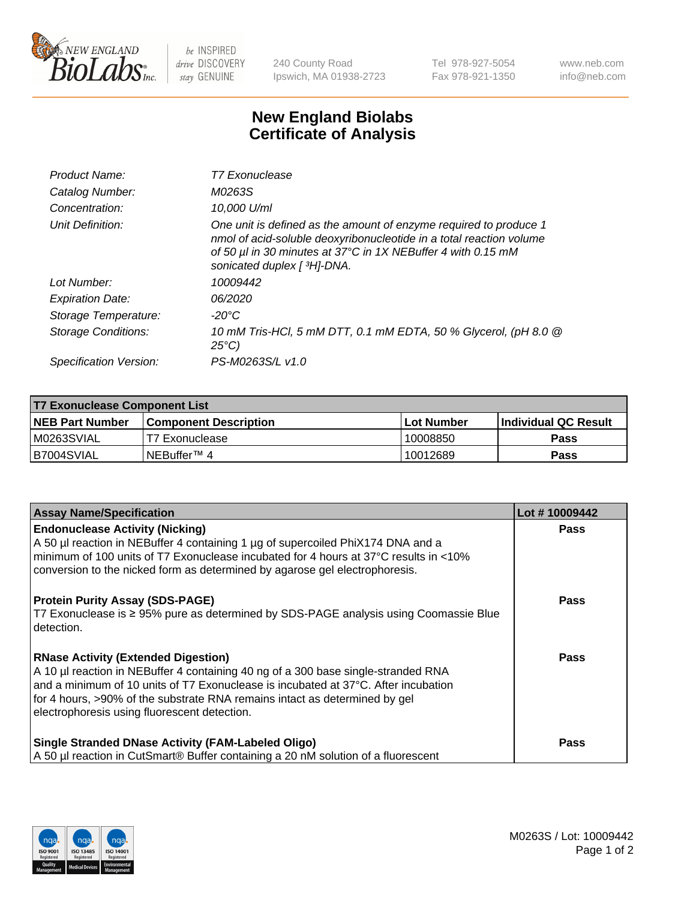

 $be$  INSPIRED drive DISCOVERY stay GENUINE

240 County Road Ipswich, MA 01938-2723 Tel 978-927-5054 Fax 978-921-1350 www.neb.com info@neb.com

## **New England Biolabs Certificate of Analysis**

| Product Name:              | T7 Exonuclease                                                                                                                                                                                                                          |
|----------------------------|-----------------------------------------------------------------------------------------------------------------------------------------------------------------------------------------------------------------------------------------|
| Catalog Number:            | M0263S                                                                                                                                                                                                                                  |
| Concentration:             | 10,000 U/ml                                                                                                                                                                                                                             |
| Unit Definition:           | One unit is defined as the amount of enzyme required to produce 1<br>nmol of acid-soluble deoxyribonucleotide in a total reaction volume<br>of 50 µl in 30 minutes at 37°C in 1X NEBuffer 4 with 0.15 mM<br>sonicated duplex [ 3H]-DNA. |
| Lot Number:                | 10009442                                                                                                                                                                                                                                |
| <b>Expiration Date:</b>    | 06/2020                                                                                                                                                                                                                                 |
| Storage Temperature:       | -20°C                                                                                                                                                                                                                                   |
| <b>Storage Conditions:</b> | 10 mM Tris-HCl, 5 mM DTT, 0.1 mM EDTA, 50 % Glycerol, (pH 8.0 @<br>$25^{\circ}C$ )                                                                                                                                                      |
| Specification Version:     | PS-M0263S/L v1.0                                                                                                                                                                                                                        |

| <b>T7 Exonuclease Component List</b> |                              |              |                             |  |
|--------------------------------------|------------------------------|--------------|-----------------------------|--|
| <b>NEB Part Number</b>               | <b>Component Description</b> | l Lot Number | <b>Individual QC Result</b> |  |
| M0263SVIAL                           | T7 Exonuclease               | 10008850     | <b>Pass</b>                 |  |
| B7004SVIAL                           | INEBuffer™ 4                 | 10012689     | Pass                        |  |

| <b>Assay Name/Specification</b>                                                                                                                                                                                                                                                                                                                     | Lot #10009442 |
|-----------------------------------------------------------------------------------------------------------------------------------------------------------------------------------------------------------------------------------------------------------------------------------------------------------------------------------------------------|---------------|
| <b>Endonuclease Activity (Nicking)</b><br>A 50 µl reaction in NEBuffer 4 containing 1 µg of supercoiled PhiX174 DNA and a<br>minimum of 100 units of T7 Exonuclease incubated for 4 hours at 37°C results in <10%<br>conversion to the nicked form as determined by agarose gel electrophoresis.                                                    | <b>Pass</b>   |
| <b>Protein Purity Assay (SDS-PAGE)</b><br>T7 Exonuclease is ≥ 95% pure as determined by SDS-PAGE analysis using Coomassie Blue<br>l detection.                                                                                                                                                                                                      | <b>Pass</b>   |
| <b>RNase Activity (Extended Digestion)</b><br>A 10 µl reaction in NEBuffer 4 containing 40 ng of a 300 base single-stranded RNA<br>and a minimum of 10 units of T7 Exonuclease is incubated at 37°C. After incubation<br>for 4 hours, >90% of the substrate RNA remains intact as determined by gel<br>electrophoresis using fluorescent detection. | Pass          |
| <b>Single Stranded DNase Activity (FAM-Labeled Oligo)</b><br>A 50 µl reaction in CutSmart® Buffer containing a 20 nM solution of a fluorescent                                                                                                                                                                                                      | <b>Pass</b>   |